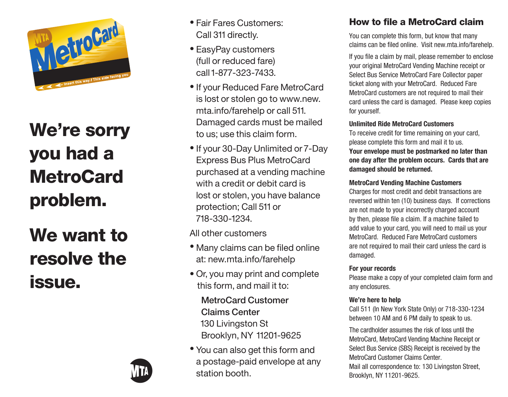

# We're sorry you had a **MetroCard** problem.

We want to resolve the issue.



- Fair Fares Customers: Call 311 directly.
- EasyPay customers (full or reduced fare) call 1-877-323-7433.
- If your Reduced Fare MetroCard is lost or stolen go to www.new. mta.info/farehelp or call 511. Damaged cards must be mailed to us; use this claim form.
- If your 30-Day Unlimited or 7-Day Express Bus Plus MetroCard purchased at a vending machine with a credit or debit card is lost or stolen, you have balance protection; Call 511 or 718-330-1234.

All other customers

- Many claims can be filed online at: new.mta.info/farehelp
- Or, you may print and complete this form, and mail it to:

 MetroCard Customer Claims Center 130 Livingston St Brooklyn, NY 11201-9625

• You can also get this form and a postage-paid envelope at any station booth.

## How to file a MetroCard claim

You can complete this form, but know that many claims can be filed online. Visit new.mta.info/farehelp.

If you file a claim by mail, please remember to enclose your original MetroCard Vending Machine receipt or Select Bus Service MetroCard Fare Collector paper ticket along with your MetroCard. Reduced Fare MetroCard customers are not required to mail their card unless the card is damaged. Please keep copies for yourself.

### **Unlimited Ride MetroCard Customers**

To receive credit for time remaining on your card, please complete this form and mail it to us. **Your envelope must be postmarked no later than one day after the problem occurs. Cards that are damaged should be returned.**

### **MetroCard Vending Machine Customers**

Charges for most credit and debit transactions are reversed within ten (10) business days. If corrections are not made to your incorrectly charged account by then, please file a claim. If a machine failed to add value to your card, you will need to mail us your MetroCard. Reduced Fare MetroCard customers are not required to mail their card unless the card is damaged.

### **For your records**

Please make a copy of your completed claim form and any enclosures.

### **We're here to help**

Call 511 (In New York State Only) or 718-330-1234 between 10 AM and 6 PM daily to speak to us.

The cardholder assumes the risk of loss until the MetroCard, MetroCard Vending Machine Receipt or Select Bus Service (SBS) Receipt is received by the MetroCard Customer Claims Center. Mail all correspondence to: 130 Livingston Street,

Brooklyn, NY 11201-9625.